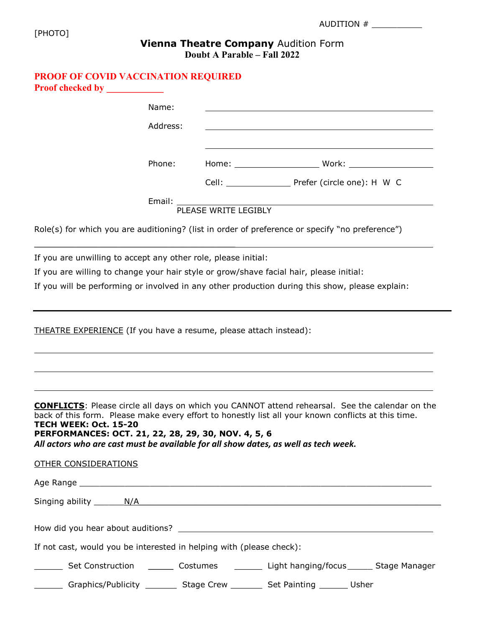| AUDITION |
|----------|
|          |

## Vienna Theatre Company Audition Form Doubt A Parable – Fall 2022

## PROOF OF COVID VACCINATION REQUIRED Proof checked by

|                                                                                                                                                                     | Name:    |                                       |                                                                                                                                                                                                                                      |  |
|---------------------------------------------------------------------------------------------------------------------------------------------------------------------|----------|---------------------------------------|--------------------------------------------------------------------------------------------------------------------------------------------------------------------------------------------------------------------------------------|--|
|                                                                                                                                                                     | Address: |                                       | <u>and the company of the company of the company of the company of the company of the company of the company of the company of the company of the company of the company of the company of the company of the company of the com</u> |  |
|                                                                                                                                                                     |          |                                       |                                                                                                                                                                                                                                      |  |
|                                                                                                                                                                     | Phone:   |                                       |                                                                                                                                                                                                                                      |  |
|                                                                                                                                                                     |          |                                       | Cell: _________________________ Prefer (circle one): H W C                                                                                                                                                                           |  |
|                                                                                                                                                                     |          | Email: Email:<br>PLEASE WRITE LEGIBLY |                                                                                                                                                                                                                                      |  |
|                                                                                                                                                                     |          |                                       | Role(s) for which you are auditioning? (list in order of preference or specify "no preference")                                                                                                                                      |  |
| If you are unwilling to accept any other role, please initial:                                                                                                      |          |                                       |                                                                                                                                                                                                                                      |  |
|                                                                                                                                                                     |          |                                       | If you are willing to change your hair style or grow/shave facial hair, please initial:                                                                                                                                              |  |
|                                                                                                                                                                     |          |                                       | If you will be performing or involved in any other production during this show, please explain:                                                                                                                                      |  |
|                                                                                                                                                                     |          |                                       |                                                                                                                                                                                                                                      |  |
| THEATRE EXPERIENCE (If you have a resume, please attach instead):                                                                                                   |          |                                       |                                                                                                                                                                                                                                      |  |
|                                                                                                                                                                     |          |                                       |                                                                                                                                                                                                                                      |  |
| TECH WEEK: Oct. 15-20<br>PERFORMANCES: OCT. 21, 22, 28, 29, 30, NOV. 4, 5, 6<br>All actors who are cast must be available for all show dates, as well as tech week. |          |                                       | <b>CONFLICTS:</b> Please circle all days on which you CANNOT attend rehearsal. See the calendar on the<br>back of this form. Please make every effort to honestly list all your known conflicts at this time.                        |  |
| <b>OTHER CONSIDERATIONS</b>                                                                                                                                         |          |                                       |                                                                                                                                                                                                                                      |  |
|                                                                                                                                                                     |          |                                       |                                                                                                                                                                                                                                      |  |
|                                                                                                                                                                     |          |                                       |                                                                                                                                                                                                                                      |  |
|                                                                                                                                                                     |          |                                       |                                                                                                                                                                                                                                      |  |
| If not cast, would you be interested in helping with (please check):                                                                                                |          |                                       |                                                                                                                                                                                                                                      |  |
|                                                                                                                                                                     |          |                                       | Set Construction _________ Costumes ____________ Light hanging/focus _______ Stage Manager                                                                                                                                           |  |

Graphics/Publicity \_\_\_\_\_\_\_\_\_ Stage Crew \_\_\_\_\_\_\_\_\_ Set Painting \_\_\_\_\_\_\_\_ Usher